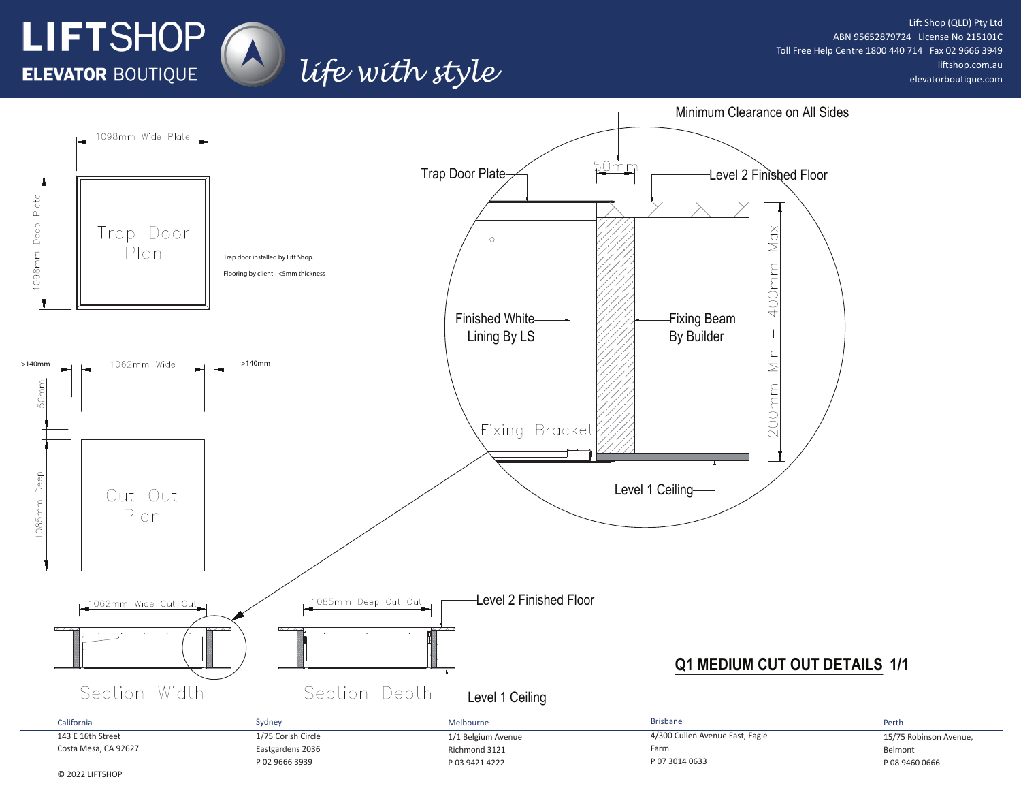

Lift Shop (QLD) Pty Ltd ABN 95652879724 License No 215101C Toll Free Help Centre 1800 440 714 Fax 02 9666 3949 liftshop.com.au elevatorboutique.com

P 08 9460 0666



life with style

P 03 9421 4222

P 02 9666 3939

P 07 3014 0633

© 2022 LIFTSHOP